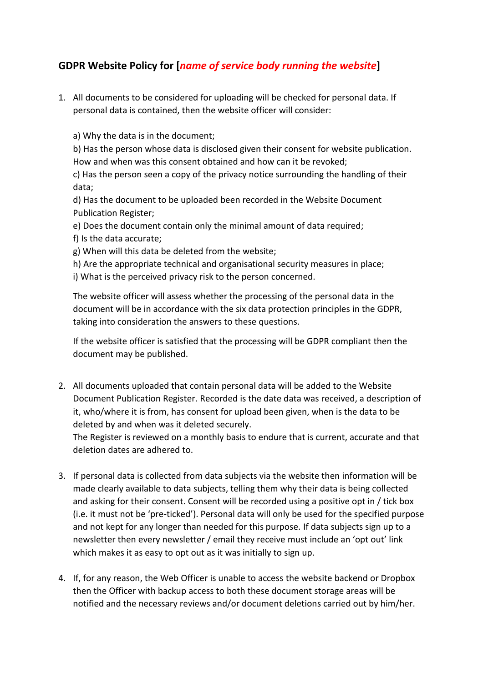## **GDPR Website Policy for [***name of service body running the website***]**

1. All documents to be considered for uploading will be checked for personal data. If personal data is contained, then the website officer will consider:

a) Why the data is in the document;

b) Has the person whose data is disclosed given their consent for website publication. How and when was this consent obtained and how can it be revoked;

c) Has the person seen a copy of the privacy notice surrounding the handling of their data;

d) Has the document to be uploaded been recorded in the Website Document Publication Register;

- e) Does the document contain only the minimal amount of data required;
- f) Is the data accurate;
- g) When will this data be deleted from the website;
- h) Are the appropriate technical and organisational security measures in place;

i) What is the perceived privacy risk to the person concerned.

The website officer will assess whether the processing of the personal data in the document will be in accordance with the six data protection principles in the GDPR, taking into consideration the answers to these questions.

If the website officer is satisfied that the processing will be GDPR compliant then the document may be published.

2. All documents uploaded that contain personal data will be added to the Website Document Publication Register. Recorded is the date data was received, a description of it, who/where it is from, has consent for upload been given, when is the data to be deleted by and when was it deleted securely.

The Register is reviewed on a monthly basis to endure that is current, accurate and that deletion dates are adhered to.

- 3. If personal data is collected from data subjects via the website then information will be made clearly available to data subjects, telling them why their data is being collected and asking for their consent. Consent will be recorded using a positive opt in / tick box (i.e. it must not be 'pre-ticked'). Personal data will only be used for the specified purpose and not kept for any longer than needed for this purpose. If data subjects sign up to a newsletter then every newsletter / email they receive must include an 'opt out' link which makes it as easy to opt out as it was initially to sign up.
- 4. If, for any reason, the Web Officer is unable to access the website backend or Dropbox then the Officer with backup access to both these document storage areas will be notified and the necessary reviews and/or document deletions carried out by him/her.